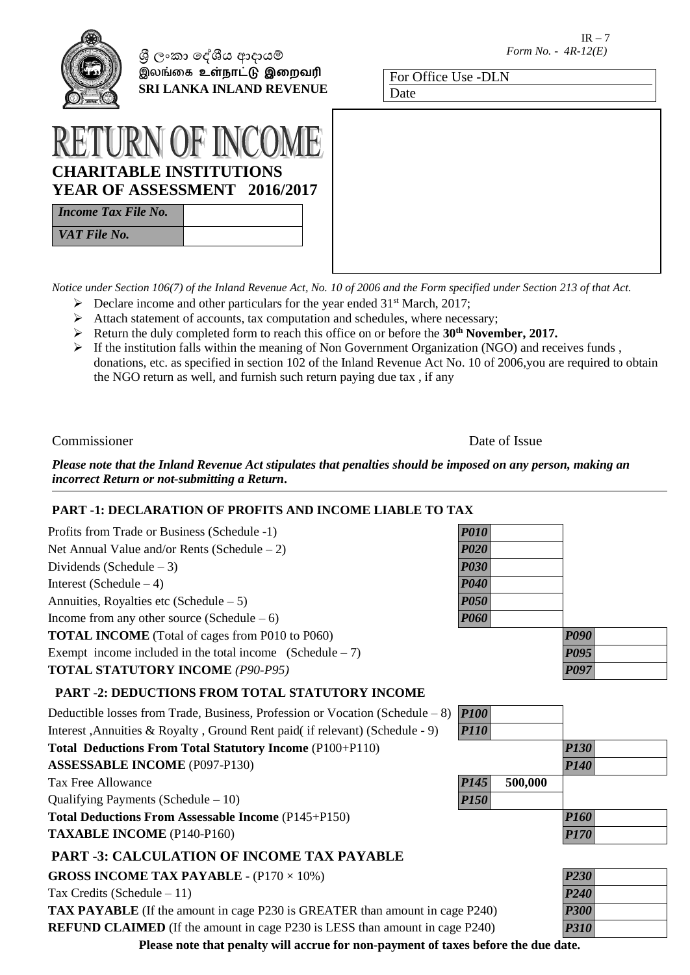

ශී ලංකා දේශීය ආදායම් இலங்கை **உள்நாட்டு இறைவரி SRI LANKA INLAND REVENUE**

| For Office Use -DLN |  |
|---------------------|--|
| Date                |  |

# **CRITABLE INSTITUT YEAR OF ASSESSMENT 2016/2017**

| <b>Income Tax File No.</b> |  |
|----------------------------|--|
| VAT File No.               |  |

*Notice under Section 106(7) of the Inland Revenue Act, No. 10 of 2006 and the Form specified under Section 213 of that Act.*

- $\triangleright$  Declare income and other particulars for the year ended 31<sup>st</sup> March, 2017;
- $\triangleright$  Attach statement of accounts, tax computation and schedules, where necessary;
- Return the duly completed form to reach this office on or before the **30th November, 2017.**
- $\triangleright$  If the institution falls within the meaning of Non Government Organization (NGO) and receives funds, donations, etc. as specified in section 102 of the Inland Revenue Act No. 10 of 2006,you are required to obtain the NGO return as well, and furnish such return paying due tax , if any

Commissioner Date of Issue

*Please note that the Inland Revenue Act stipulates that penalties should be imposed on any person, making an incorrect Return or not-submitting a Return***.**

# **PART -1: DECLARATION OF PROFITS AND INCOME LIABLE TO TAX**

| Profits from Trade or Business (Schedule -1)                                    | <b>P010</b> |         |                                  |
|---------------------------------------------------------------------------------|-------------|---------|----------------------------------|
| Net Annual Value and/or Rents (Schedule $-2$ )                                  | <b>P020</b> |         |                                  |
| Dividends (Schedule $-3$ )                                                      | <b>P030</b> |         |                                  |
| Interest (Schedule $-4$ )                                                       | <b>P040</b> |         |                                  |
| Annuities, Royalties etc (Schedule $-5$ )                                       | <b>P050</b> |         |                                  |
| Income from any other source (Schedule $-6$ )                                   | <b>P060</b> |         |                                  |
| <b>TOTAL INCOME</b> (Total of cages from P010 to P060)                          |             |         | <b>P090</b>                      |
| Exempt income included in the total income $(Schedule - 7)$                     |             |         | <b>P095</b>                      |
| <b>TOTAL STATUTORY INCOME (P90-P95)</b>                                         |             |         | <b>P097</b>                      |
| <b>PART -2: DEDUCTIONS FROM TOTAL STATUTORY INCOME</b>                          |             |         |                                  |
| Deductible losses from Trade, Business, Profession or Vocation (Schedule $-8$ ) | <b>P100</b> |         |                                  |
| Interest, Annuities & Royalty, Ground Rent paid(if relevant) (Schedule - 9)     | <b>P110</b> |         |                                  |
| Total Deductions From Total Statutory Income (P100+P110)                        |             |         | <b>P130</b>                      |
| <b>ASSESSABLE INCOME (P097-P130)</b>                                            |             |         | <b>P140</b>                      |
| <b>Tax Free Allowance</b>                                                       | <b>P145</b> | 500,000 |                                  |
| Qualifying Payments (Schedule $-10$ )                                           | <b>P150</b> |         |                                  |
| <b>Total Deductions From Assessable Income (P145+P150)</b>                      |             |         | <b>P160</b>                      |
| <b>TAXABLE INCOME (P140-P160)</b>                                               |             |         | <b>P170</b>                      |
| <b>PART -3: CALCULATION OF INCOME TAX PAYABLE</b>                               |             |         |                                  |
| <b>GROSS INCOME TAX PAYABLE - <math>(P170 \times 10\%)</math></b>               |             |         | <b>P230</b>                      |
| Tax Credits (Schedule $-11$ )                                                   |             |         | P <sub>240</sub>                 |
|                                                                                 |             |         | $\mathbf{D}\mathbf{A}\mathbf{A}$ |

**TAX PAYABLE** (If the amount in cage P230 is GREATER than amount in cage P240) *P300* **REFUND CLAIMED** (If the amount in cage P230 is LESS than amount in cage P240) *P310*

**Please note that penalty will accrue for non-payment of taxes before the due date.**